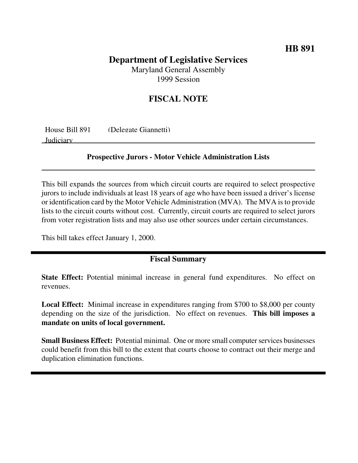## **HB 891**

# **Department of Legislative Services**

Maryland General Assembly 1999 Session

## **FISCAL NOTE**

| House Bill 891 | (Delegate Giannetti) |
|----------------|----------------------|
| Judiciary      |                      |

#### **Prospective Jurors - Motor Vehicle Administration Lists**

This bill expands the sources from which circuit courts are required to select prospective jurors to include individuals at least 18 years of age who have been issued a driver's license or identification card by the Motor Vehicle Administration (MVA). The MVA isto provide lists to the circuit courts without cost. Currently, circuit courts are required to select jurors from voter registration lists and may also use other sources under certain circumstances.

This bill takes effect January 1, 2000.

### **Fiscal Summary**

**State Effect:** Potential minimal increase in general fund expenditures. No effect on revenues.

**Local Effect:** Minimal increase in expenditures ranging from \$700 to \$8,000 per county depending on the size of the jurisdiction. No effect on revenues. **This bill imposes a mandate on units of local government.**

**Small Business Effect:** Potential minimal. One or more small computer services businesses could benefit from this bill to the extent that courts choose to contract out their merge and duplication elimination functions.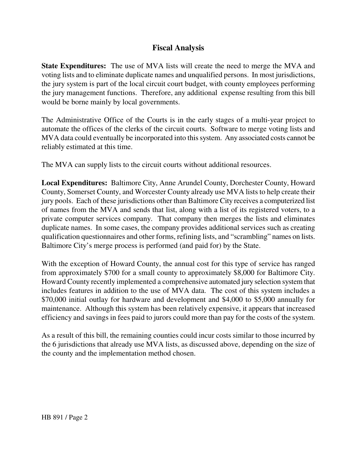## **Fiscal Analysis**

**State Expenditures:** The use of MVA lists will create the need to merge the MVA and voting lists and to eliminate duplicate names and unqualified persons. In most jurisdictions, the jury system is part of the local circuit court budget, with county employees performing the jury management functions. Therefore, any additional expense resulting from this bill would be borne mainly by local governments.

The Administrative Office of the Courts is in the early stages of a multi-year project to automate the offices of the clerks of the circuit courts. Software to merge voting lists and MVA data could eventually be incorporated into this system. Any associated costs cannot be reliably estimated at this time.

The MVA can supply lists to the circuit courts without additional resources.

**Local Expenditures:** Baltimore City, Anne Arundel County, Dorchester County, Howard County, Somerset County, and Worcester County already use MVA lists to help create their jury pools. Each of these jurisdictions other than Baltimore City receives a computerized list of names from the MVA and sends that list, along with a list of its registered voters, to a private computer services company. That company then merges the lists and eliminates duplicate names. In some cases, the company provides additional services such as creating qualification questionnaires and other forms, refining lists, and "scrambling" names on lists. Baltimore City's merge process is performed (and paid for) by the State.

With the exception of Howard County, the annual cost for this type of service has ranged from approximately \$700 for a small county to approximately \$8,000 for Baltimore City. Howard County recently implemented a comprehensive automated jury selection system that includes features in addition to the use of MVA data. The cost of this system includes a \$70,000 initial outlay for hardware and development and \$4,000 to \$5,000 annually for maintenance. Although this system has been relatively expensive, it appears that increased efficiency and savings in fees paid to jurors could more than pay for the costs of the system.

As a result of this bill, the remaining counties could incur costs similar to those incurred by the 6 jurisdictions that already use MVA lists, as discussed above, depending on the size of the county and the implementation method chosen.